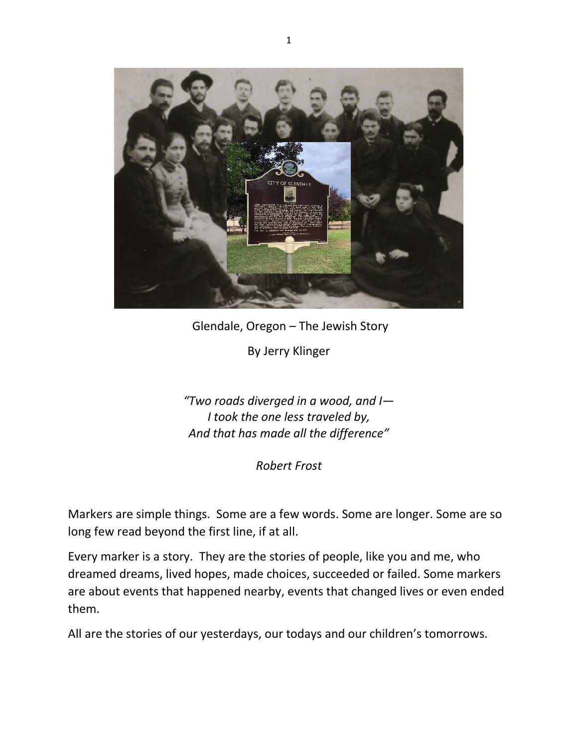

Glendale, Oregon – The Jewish Story

By Jerry Klinger

*"Two roads diverged in a wood, and I— I took the one less traveled by, And that has made all the difference"*

*Robert Frost*

Markers are simple things. Some are a few words. Some are longer. Some are so long few read beyond the first line, if at all.

Every marker is a story. They are the stories of people, like you and me, who dreamed dreams, lived hopes, made choices, succeeded or failed. Some markers are about events that happened nearby, events that changed lives or even ended them.

All are the stories of our yesterdays, our todays and our children's tomorrows.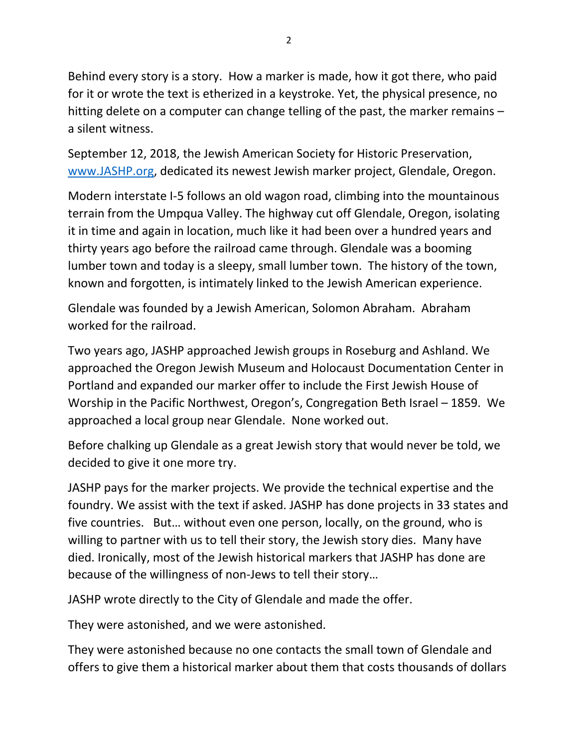Behind every story is a story. How a marker is made, how it got there, who paid for it or wrote the text is etherized in a keystroke. Yet, the physical presence, no hitting delete on a computer can change telling of the past, the marker remains – a silent witness.

September 12, 2018, the Jewish American Society for Historic Preservation, [www.JASHP.org,](http://www.jashp.org/) dedicated its newest Jewish marker project, Glendale, Oregon.

Modern interstate I-5 follows an old wagon road, climbing into the mountainous terrain from the Umpqua Valley. The highway cut off Glendale, Oregon, isolating it in time and again in location, much like it had been over a hundred years and thirty years ago before the railroad came through. Glendale was a booming lumber town and today is a sleepy, small lumber town. The history of the town, known and forgotten, is intimately linked to the Jewish American experience.

Glendale was founded by a Jewish American, Solomon Abraham. Abraham worked for the railroad.

Two years ago, JASHP approached Jewish groups in Roseburg and Ashland. We approached the Oregon Jewish Museum and Holocaust Documentation Center in Portland and expanded our marker offer to include the First Jewish House of Worship in the Pacific Northwest, Oregon's, Congregation Beth Israel – 1859. We approached a local group near Glendale. None worked out.

Before chalking up Glendale as a great Jewish story that would never be told, we decided to give it one more try.

JASHP pays for the marker projects. We provide the technical expertise and the foundry. We assist with the text if asked. JASHP has done projects in 33 states and five countries. But… without even one person, locally, on the ground, who is willing to partner with us to tell their story, the Jewish story dies. Many have died. Ironically, most of the Jewish historical markers that JASHP has done are because of the willingness of non-Jews to tell their story…

JASHP wrote directly to the City of Glendale and made the offer.

They were astonished, and we were astonished.

They were astonished because no one contacts the small town of Glendale and offers to give them a historical marker about them that costs thousands of dollars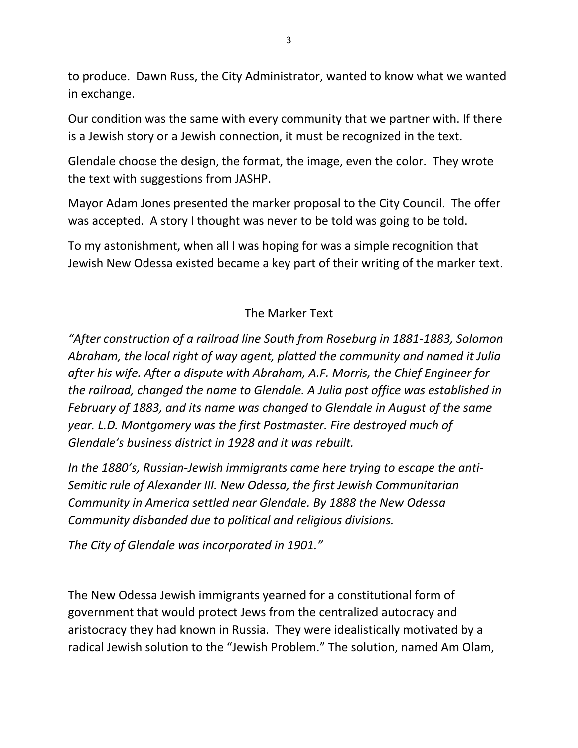to produce. Dawn Russ, the City Administrator, wanted to know what we wanted in exchange.

Our condition was the same with every community that we partner with. If there is a Jewish story or a Jewish connection, it must be recognized in the text.

Glendale choose the design, the format, the image, even the color. They wrote the text with suggestions from JASHP.

Mayor Adam Jones presented the marker proposal to the City Council. The offer was accepted. A story I thought was never to be told was going to be told.

To my astonishment, when all I was hoping for was a simple recognition that Jewish New Odessa existed became a key part of their writing of the marker text.

## The Marker Text

*"After construction of a railroad line South from Roseburg in 1881-1883, Solomon Abraham, the local right of way agent, platted the community and named it Julia after his wife. After a dispute with Abraham, A.F. Morris, the Chief Engineer for the railroad, changed the name to Glendale. A Julia post office was established in February of 1883, and its name was changed to Glendale in August of the same year. L.D. Montgomery was the first Postmaster. Fire destroyed much of Glendale's business district in 1928 and it was rebuilt.*

*In the 1880's, Russian-Jewish immigrants came here trying to escape the anti-Semitic rule of Alexander III. New Odessa, the first Jewish Communitarian Community in America settled near Glendale. By 1888 the New Odessa Community disbanded due to political and religious divisions.* 

*The City of Glendale was incorporated in 1901."*

The New Odessa Jewish immigrants yearned for a constitutional form of government that would protect Jews from the centralized autocracy and aristocracy they had known in Russia. They were idealistically motivated by a radical Jewish solution to the "Jewish Problem." The solution, named Am Olam,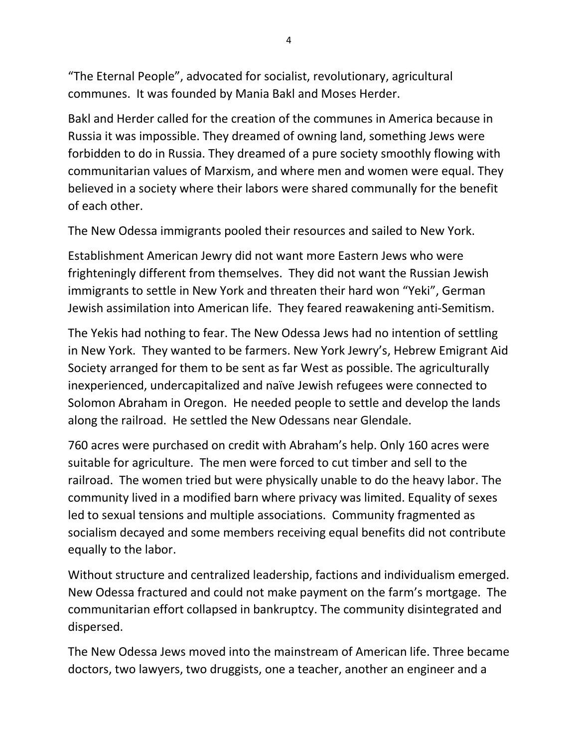"The Eternal People", advocated for socialist, revolutionary, agricultural communes. It was founded by Mania Bakl and Moses Herder.

Bakl and Herder called for the creation of the communes in America because in Russia it was impossible. They dreamed of owning land, something Jews were forbidden to do in Russia. They dreamed of a pure society smoothly flowing with communitarian values of Marxism, and where men and women were equal. They believed in a society where their labors were shared communally for the benefit of each other.

The New Odessa immigrants pooled their resources and sailed to New York.

Establishment American Jewry did not want more Eastern Jews who were frighteningly different from themselves. They did not want the Russian Jewish immigrants to settle in New York and threaten their hard won "Yeki", German Jewish assimilation into American life. They feared reawakening anti-Semitism.

The Yekis had nothing to fear. The New Odessa Jews had no intention of settling in New York. They wanted to be farmers. New York Jewry's, Hebrew Emigrant Aid Society arranged for them to be sent as far West as possible. The agriculturally inexperienced, undercapitalized and naïve Jewish refugees were connected to Solomon Abraham in Oregon. He needed people to settle and develop the lands along the railroad. He settled the New Odessans near Glendale.

760 acres were purchased on credit with Abraham's help. Only 160 acres were suitable for agriculture. The men were forced to cut timber and sell to the railroad. The women tried but were physically unable to do the heavy labor. The community lived in a modified barn where privacy was limited. Equality of sexes led to sexual tensions and multiple associations. Community fragmented as socialism decayed and some members receiving equal benefits did not contribute equally to the labor.

Without structure and centralized leadership, factions and individualism emerged. New Odessa fractured and could not make payment on the farm's mortgage. The communitarian effort collapsed in bankruptcy. The community disintegrated and dispersed.

The New Odessa Jews moved into the mainstream of American life. Three became doctors, two lawyers, two druggists, one a teacher, another an engineer and a